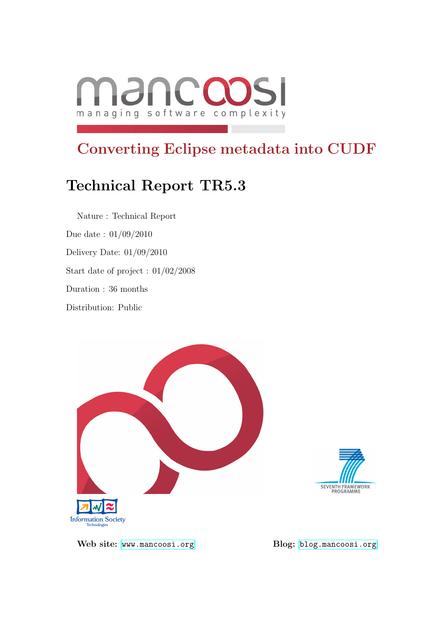

# Converting Eclipse metadata into CUDF

# Technical Report TR5.3

Nature : Technical Report Due date : 01/09/2010 Delivery Date: 01/09/2010 Start date of project : 01/02/2008 Duration : 36 months Distribution: Public





Web site: <www.mancoosi.org> Blog: <blog.mancoosi.org>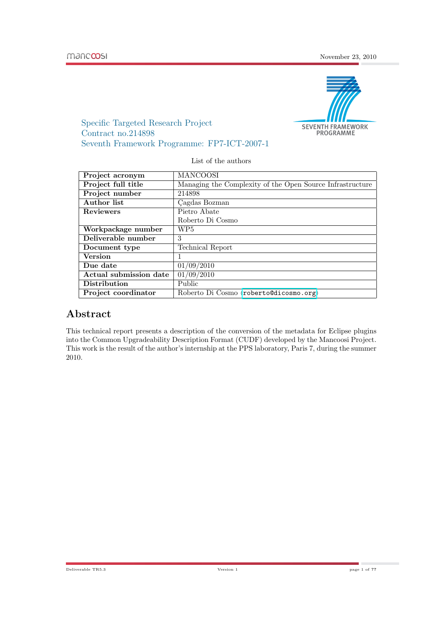

Specific Targeted Research Project Contract no.214898 Seventh Framework Programme: FP7-ICT-2007-1

List of the authors

| Project acronym        | <b>MANCOOSI</b>                                           |  |
|------------------------|-----------------------------------------------------------|--|
| Project full title     | Managing the Complexity of the Open Source Infrastructure |  |
| Project number         | 214898                                                    |  |
| Author list            | Cagdas Bozman                                             |  |
| <b>Reviewers</b>       | Pietro Abate                                              |  |
|                        | Roberto Di Cosmo                                          |  |
| Workpackage number     | WP5                                                       |  |
| Deliverable number     | 3                                                         |  |
| Document type          | Technical Report                                          |  |
| <b>Version</b>         |                                                           |  |
| Due date               | 01/09/2010                                                |  |
| Actual submission date | 01/09/2010                                                |  |
| <b>Distribution</b>    | Public                                                    |  |
| Project coordinator    | Roberto Di Cosmo (roberto@dicosmo.org)                    |  |

# Abstract

This technical report presents a description of the conversion of the metadata for Eclipse plugins into the Common Upgradeability Description Format (CUDF) developed by the Mancoosi Project. This work is the result of the author's internship at the PPS laboratory, Paris 7, during the summer 2010.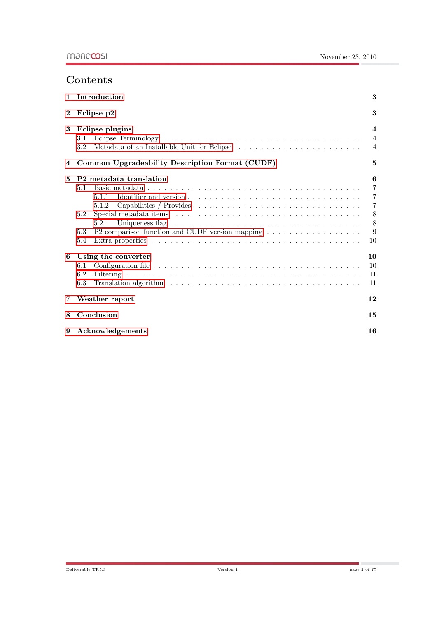# Contents

| $\mathbf{1}$   | Introduction                                                                                                                                                                        | 3                                                                                |  |  |  |  |
|----------------|-------------------------------------------------------------------------------------------------------------------------------------------------------------------------------------|----------------------------------------------------------------------------------|--|--|--|--|
| $\bf{2}$       | 3<br>Eclipse p2                                                                                                                                                                     |                                                                                  |  |  |  |  |
| 3              | Eclipse plugins<br>3.1<br>3.2                                                                                                                                                       | $\boldsymbol{4}$<br>$\overline{4}$<br>$\overline{4}$                             |  |  |  |  |
| 4              | Common Upgradeability Description Format (CUDF)                                                                                                                                     | 5                                                                                |  |  |  |  |
| 5              | P <sub>2</sub> metadata translation<br>5.1<br>5.1.1<br>5.1.2<br>5.2<br>5.2.1<br>P2 comparison function and CUDF version mapping $\dots \dots \dots \dots \dots \dots$<br>5.3<br>5.4 | 6<br>$\overline{7}$<br>$\overline{7}$<br>$\overline{7}$<br>$8\,$<br>8<br>9<br>10 |  |  |  |  |
| 6              | Using the converter<br>6.1<br>6.2<br>6.3<br>Translation algorithm $\dots \dots \dots \dots \dots \dots \dots \dots \dots \dots \dots \dots \dots \dots$                             | 10<br>10<br>11<br>11                                                             |  |  |  |  |
| $\overline{7}$ | Weather report                                                                                                                                                                      | 12                                                                               |  |  |  |  |
| 8              | Conclusion<br>15                                                                                                                                                                    |                                                                                  |  |  |  |  |
| 9              | Acknowledgements                                                                                                                                                                    | 16                                                                               |  |  |  |  |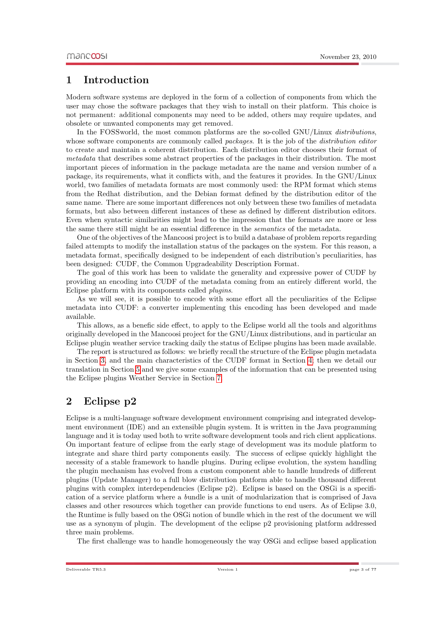## <span id="page-3-0"></span>1 Introduction

Modern software systems are deployed in the form of a collection of components from which the user may chose the software packages that they wish to install on their platform. This choice is not permanent: additional components may need to be added, others may require updates, and obsolete or unwanted components may get removed.

In the FOSSworld, the most common platforms are the so-colled GNU/Linux distributions, whose software components are commonly called *packages*. It is the job of the *distribution editor* to create and maintain a coherent distribution. Each distribution editor chooses their format of metadata that describes some abstract properties of the packages in their distribution. The most important pieces of information in the package metadata are the name and version number of a package, its requirements, what it conflicts with, and the features it provides. In the GNU/Linux world, two families of metadata formats are most commonly used: the RPM format which stems from the Redhat distribution, and the Debian format defined by the distribution editor of the same name. There are some important differences not only between these two families of metadata formats, but also between different instances of these as defined by different distribution editors. Even when syntactic similarities might lead to the impression that the formats are more or less the same there still might be an essential difference in the semantics of the metadata.

One of the objectives of the Mancoosi project is to build a database of problem reports regarding failed attempts to modify the installation status of the packages on the system. For this reason, a metadata format, specifically designed to be independent of each distribution's peculiarities, has been designed: CUDF, the Common Upgradeability Description Format.

The goal of this work has been to validate the generality and expressive power of CUDF by providing an encoding into CUDF of the metadata coming from an entirely different world, the Eclipse platform with its components called plugins.

As we will see, it is possible to encode with some effort all the peculiarities of the Eclipse metadata into CUDF: a converter implementing this encoding has been developed and made available.

This allows, as a benefic side effect, to apply to the Eclipse world all the tools and algorithms originally developed in the Mancoosi project for the GNU/Linux distributions, and in particular an Eclipse plugin weather service tracking daily the status of Eclipse plugins has been made available.

The report is structured as follows: we briefly recall the structure of the Eclipse plugin metadata in Section [3,](#page-4-0) and the main characteristics of the CUDF format in Section [4;](#page-5-0) then we detail our translation in Section [5](#page-6-0) and we give some examples of the information that can be presented using the Eclipse plugins Weather Service in Section [7.](#page-12-0)

# <span id="page-3-1"></span>2 Eclipse p2

Eclipse is a multi-language software development environment comprising and integrated development environment (IDE) and an extensible plugin system. It is written in the Java programming language and it is today used both to write software development tools and rich client applications. On important feature of eclipse from the early stage of development was its module platform to integrate and share third party components easily. The success of eclipse quickly highlight the necessity of a stable framework to handle plugins. During eclipse evolution, the system handling the plugin mechanism has evolved from a custom component able to handle hundreds of different plugins (Update Manager) to a full blow distribution platform able to handle thousand different plugins with complex interdependencies (Eclipse p2). Eclipse is based on the OSGi is a specification of a service platform where a bundle is a unit of modularization that is comprised of Java classes and other resources which together can provide functions to end users. As of Eclipse 3.0, the Runtime is fully based on the OSGi notion of bundle which in the rest of the document we will use as a synonym of plugin. The development of the eclipse p2 provisioning platform addressed three main problems.

The first challenge was to handle homogeneously the way OSGi and eclipse based application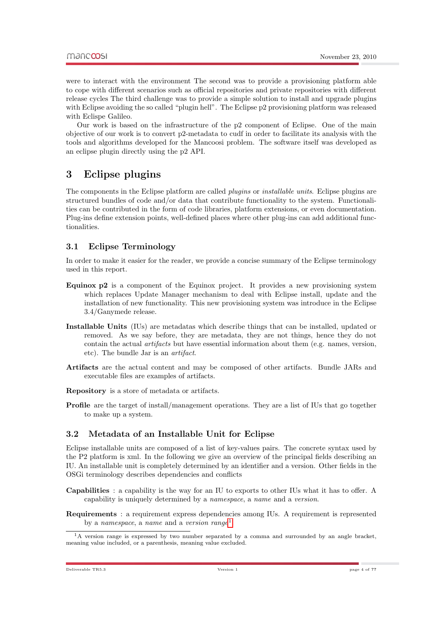were to interact with the environment The second was to provide a provisioning platform able to cope with different scenarios such as official repositories and private repositories with different release cycles The third challenge was to provide a simple solution to install and upgrade plugins with Eclipse avoiding the so called "plugin hell". The Eclipse p2 provisioning platform was released with Eclispe Galileo.

Our work is based on the infrastructure of the p2 component of Eclipse. One of the main objective of our work is to convert p2-metadata to cudf in order to facilitate its analysis with the tools and algorithms developed for the Mancoosi problem. The software itself was developed as an eclipse plugin directly using the p2 API.

# <span id="page-4-0"></span>3 Eclipse plugins

The components in the Eclipse platform are called *plugins* or *installable units*. Eclipse plugins are structured bundles of code and/or data that contribute functionality to the system. Functionalities can be contributed in the form of code libraries, platform extensions, or even documentation. Plug-ins define extension points, well-defined places where other plug-ins can add additional functionalities.

## <span id="page-4-1"></span>3.1 Eclipse Terminology

In order to make it easier for the reader, we provide a concise summary of the Eclipse terminology used in this report.

- Equinox p2 is a component of the Equinox project. It provides a new provisioning system which replaces Update Manager mechanism to deal with Eclipse install, update and the installation of new functionality. This new provisioning system was introduce in the Eclipse 3.4/Ganymede release.
- Installable Units (IUs) are metadatas which describe things that can be installed, updated or removed. As we say before, they are metadata, they are not things, hence they do not contain the actual artifacts but have essential information about them (e.g. names, version, etc). The bundle Jar is an artifact.
- Artifacts are the actual content and may be composed of other artifacts. Bundle JARs and executable files are examples of artifacts.

Repository is a store of metadata or artifacts.

Profile are the target of install/management operations. They are a list of IUs that go together to make up a system.

## <span id="page-4-2"></span>3.2 Metadata of an Installable Unit for Eclipse

Eclipse installable units are composed of a list of key-values pairs. The concrete syntax used by the P2 platform is xml. In the following we give an overview of the principal fields describing an IU. An installable unit is completely determined by an identifier and a version. Other fields in the OSGi terminology describes dependencies and conflicts

Capabilities : a capability is the way for an IU to exports to other IUs what it has to offer. A capability is uniquely determined by a namespace, a name and a version.

Requirements : a requirement express dependencies among IUs. A requirement is represented by a namespace, a name and a version range<sup>[1](#page-4-3)</sup>.

<span id="page-4-3"></span><sup>&</sup>lt;sup>1</sup>A version range is expressed by two number separated by a comma and surrounded by an angle bracket, meaning value included, or a parenthesis, meaning value excluded.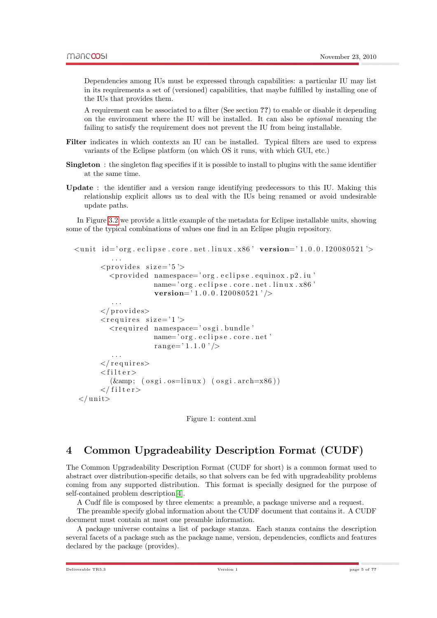Dependencies among IUs must be expressed through capabilities: a particular IU may list in its requirements a set of (versioned) capabilities, that maybe fulfilled by installing one of the IUs that provides them.

A requirement can be associated to a filter (See section ??) to enable or disable it depending on the environment where the IU will be installed. It can also be optional meaning the failing to satisfy the requirement does not prevent the IU from being installable.

- Filter indicates in which contexts an IU can be installed. Typical filters are used to express variants of the Eclipse platform (on which OS it runs, with which GUI, etc.)
- Singleton : the singleton flag specifies if it is possible to install to plugins with the same identifier at the same time.
- Update : the identifier and a version range identifying predecessors to this IU. Making this relationship explicit allows us to deal with the IUs being renamed or avoid undesirable update paths.

In Figure [3.2](#page-5-1) we provide a little example of the metadata for Eclipse installable units, showing some of the typical combinations of values one find in an Eclipse plugin repository.

```
\langleunit id='org.eclipse.core.net.linux.x86' version='1.0.0.120080521'>
          . . .
       <provides size='5'>
         \langleprovided namespace='org.eclipse.equinox.p2.iu'
                     name='org.eclipse.core.net.linux.x86'
                     version=' 1.0.0.120080521'/>
          . . .
       \langle/provides>
       \langlerequires size='1'>
         <r e q ui r e d namespace=' o s g i . bundle '
                     name='org.eclipse.core.net'
                     range='1.1.0' />
          . . .
       \langle requires
       <filter>(\&; (osgi.os=linux) (osgi.arch=x86))\langle filter>
 \langle unit
```
Figure 1: content.xml

# <span id="page-5-1"></span><span id="page-5-0"></span>4 Common Upgradeability Description Format (CUDF)

The Common Upgradeability Description Format (CUDF for short) is a common format used to abstract over distribution-specific details, so that solvers can be fed with upgradeability problems coming from any supported distribution. This format is specially designed for the purpose of self-contained problem description[\[4\]](#page-17-0).

A Cudf file is composed by three elements: a preamble, a package universe and a request.

The preamble specify global information about the CUDF document that contains it. A CUDF document must contain at most one preamble information.

A package universe contains a list of package stanza. Each stanza contains the description several facets of a package such as the package name, version, dependencies, conflicts and features declared by the package (provides).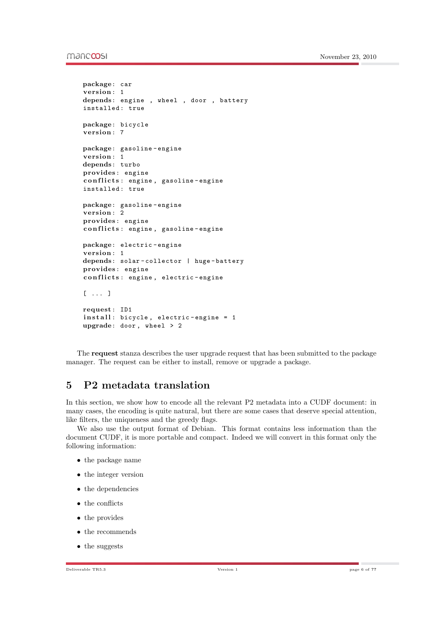#### mandoosi

```
package: car
version: 1
depends: engine , wheel , door , battery
installed : true
package: bicycle
version: 7
package: gasoline - engine
version: 1
depends: turbo
provides : engine
conflicts: engine, gasoline-engine
installed : true
package: gasoline - engine
version: 2
provides : engine
conflicts: engine, gasoline-engine
package: electric - engine
version: 1
depends: solar-collector | huge-battery
provides : engine
conflicts: engine, electric-engine
[ ... ]
request : ID1
install: bicycle, electric-engine = 1
upgrade: door, wheel > 2
```
The request stanza describes the user upgrade request that has been submitted to the package manager. The request can be either to install, remove or upgrade a package.

# <span id="page-6-0"></span>5 P2 metadata translation

In this section, we show how to encode all the relevant P2 metadata into a CUDF document: in many cases, the encoding is quite natural, but there are some cases that deserve special attention, like filters, the uniqueness and the greedy flags.

We also use the output format of Debian. This format contains less information than the document CUDF, it is more portable and compact. Indeed we will convert in this format only the following information:

- the package name
- the integer version
- the dependencies
- the conflicts
- the provides
- the recommends
- the suggests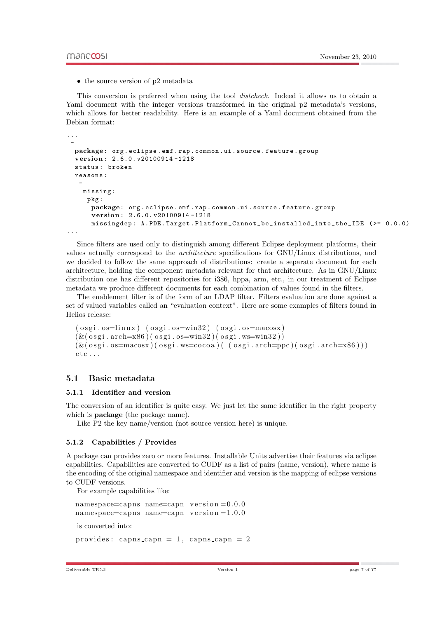• the source version of p2 metadata

This conversion is preferred when using the tool distcheck. Indeed it allows us to obtain a Yaml document with the integer versions transformed in the original  $p^2$  metadata's versions, which allows for better readability. Here is an example of a Yaml document obtained from the Debian format:

```
...
 -
```

```
package: org . eclipse . emf . rap . common . ui . source . feature . group
vers ion: 2.6.0. v20100914 -1218
status: broken
reasons :
 -
  missing :
   pkg :
    package: org . eclipse . emf . rap . common . ui . source . feature . group
    vers ion: 2.6.0. v20100914 -1218
    missingdep : A . PDE . Target . Platform_Cannot_be_installed_into_the_IDE ( >= 0.0.0)
```
...

Since filters are used only to distinguish among different Eclipse deployment platforms, their values actually correspond to the architecture specifications for GNU/Linux distributions, and we decided to follow the same approach of distributions: create a separate document for each architecture, holding the component metadata relevant for that architecture. As in GNU/Linux distribution one has different repositories for i386, hppa, arm, etc., in our treatment of Eclipse metadata we produce different documents for each combination of values found in the filters.

The enablement filter is of the form of an LDAP filter. Filters evaluation are done against a set of valued variables called an "evaluation context". Here are some examples of filters found in Helios release:

```
(ospi.os=linux) (ospi.os=win32) (ospi.os=macosx)(\&(\text{osgi. arch=x86})(\text{osgi. os}=win32)(\text{osgi.ws}=win32))(\& ( \sigma osgi . os=macosx ) ( \sigma osgi . ws=cocoa ) ( | ( \sigma osgi . arch=ppc ) ( \sigma osgi . arch=x86 | ) )
etc....
```
#### <span id="page-7-0"></span>5.1 Basic metadata

#### <span id="page-7-1"></span>5.1.1 Identifier and version

The conversion of an identifier is quite easy. We just let the same identifier in the right property which is **package** (the package name).

Like P2 the key name/version (not source version here) is unique.

#### <span id="page-7-2"></span>5.1.2 Capabilities / Provides

A package can provides zero or more features. Installable Units advertise their features via eclipse capabilities. Capabilities are converted to CUDF as a list of pairs (name, version), where name is the encoding of the original namespace and identifier and version is the mapping of eclipse versions to CUDF versions.

For example capabilities like:

```
namespace=capns name=capn version = 0.0.0namespace=capns name=capn version=1.0.0is converted into:
provides: capns_capn = 1, capns_capn = 2
```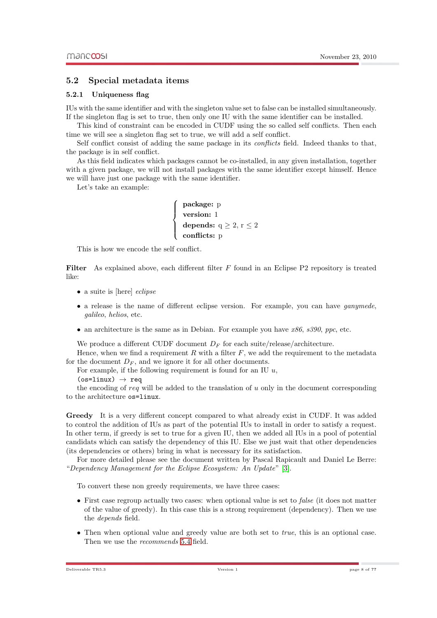#### <span id="page-8-0"></span>5.2 Special metadata items

#### <span id="page-8-1"></span>5.2.1 Uniqueness flag

IUs with the same identifier and with the singleton value set to false can be installed simultaneously. If the singleton flag is set to true, then only one IU with the same identifier can be installed.

This kind of constraint can be encoded in CUDF using the so called self conflicts. Then each time we will see a singleton flag set to true, we will add a self conflict.

Self conflict consist of adding the same package in its *conflicts* field. Indeed thanks to that, the package is in self conflict.

As this field indicates which packages cannot be co-installed, in any given installation, together with a given package, we will not install packages with the same identifier except himself. Hence we will have just one package with the same identifier.

Let's take an example:

package: p version: 1 depends:  $q \ge 2$ ,  $r \le 2$ conflicts: p

This is how we encode the self conflict.

Filter As explained above, each different filter  $F$  found in an Eclipse P2 repository is treated like:

- a suite is [here] *eclipse*
- a release is the name of different eclipse version. For example, you can have *ganymede*, galileo, helios, etc.
- an architecture is the same as in Debian. For example you have  $x86$ ,  $s390$ , ppc, etc.

We produce a different CUDF document  $D_F$  for each suite/release/architecture.

Hence, when we find a requirement  $R$  with a filter  $F$ , we add the requirement to the metadata for the document  $D_F$ , and we ignore it for all other documents.

For example, if the following requirement is found for an IU  $u$ ,

 $\sqrt{ }$  $\int$ 

 $\overline{\mathcal{L}}$ 

```
(os=linux) \rightarrow req
```
the encoding of req will be added to the translation of  $u$  only in the document corresponding to the architecture os=linux.

<span id="page-8-2"></span>Greedy It is a very different concept compared to what already exist in CUDF. It was added to control the addition of IUs as part of the potential IUs to install in order to satisfy a request. In other term, if greedy is set to true for a given IU, then we added all IUs in a pool of potential candidats which can satisfy the dependency of this IU. Else we just wait that other dependencies (its dependencies or others) bring in what is necessary for its satisfaction.

For more detailed please see the document written by Pascal Rapicault and Daniel Le Berre: "Dependency Management for the Eclipse Ecosystem: An Update" [\[3\]](#page-17-1).

To convert these non greedy requirements, we have three cases:

- First case regroup actually two cases: when optional value is set to *false* (it does not matter of the value of greedy). In this case this is a strong requirement (dependency). Then we use the depends field.
- Then when optional value and greedy value are both set to  $true$ , this is an optional case. Then we use the recommends [5.4](#page-10-3) field.

Deliverable TR5.3 Version 1 page 8 of ??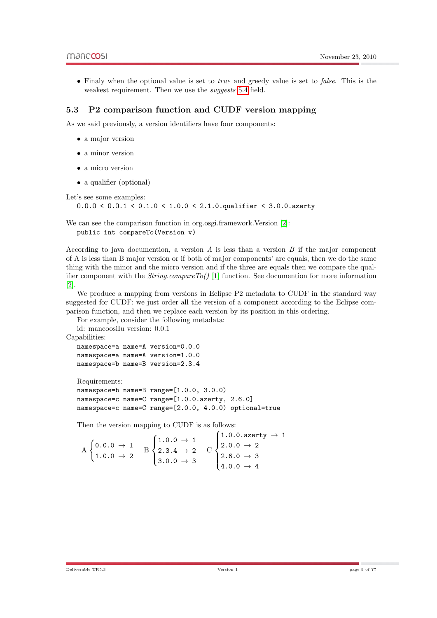• Finaly when the optional value is set to *true* and greedy value is set to *false*. This is the weakest requirement. Then we use the *suggests* [5.4](#page-10-4) field.

#### <span id="page-9-0"></span>5.3 P2 comparison function and CUDF version mapping

As we said previously, a version identifiers have four components:

- a major version
- a minor version
- a micro version
- a qualifier (optional)

Let's see some examples:

O.O.O < O.O.1 < 0.1.0 < 1.0.0 < 2.1.0.qualifier < 3.0.0.azerty

We can see the comparison function in org.osgi.framework.Version [\[2\]](#page-17-2): public int compareTo(Version v)

According to java documention, a version  $A$  is less than a version  $B$  if the major component of A is less than B major version or if both of major components' are equals, then we do the same thing with the minor and the micro version and if the three are equals then we compare the qualifier component with the  $String_{\text{compareTo}}()$  [\[1\]](#page-17-3) function. See documention for more information [\[2\]](#page-17-2).

We produce a mapping from versions in Eclipse P2 metadata to CUDF in the standard way suggested for CUDF: we just order all the version of a component according to the Eclipse comparison function, and then we replace each version by its position in this ordering.

For example, consider the following metadata:

id: mancoosiIu version: 0.0.1

Capabilities:

```
namespace=a name=A version=0.0.0
namespace=a name=A version=1.0.0
namespace=b name=B version=2.3.4
```
Requirements:

```
namespace=b name=B range=[1.0.0, 3.0.0)
namespace=c name=C range=[1.0.0.azerty, 2.6.0]
namespace=c name=C range=[2.0.0, 4.0.0) optional=true
```
Then the version mapping to CUDF is as follows:

|                                                                          |  |                                                                                                                      |  | $\big(1.0.0.\text{azerty}\rightarrow 1$ |
|--------------------------------------------------------------------------|--|----------------------------------------------------------------------------------------------------------------------|--|-----------------------------------------|
| $A \begin{cases} 0.0.0 \rightarrow 1 \\ 1.0.0 \rightarrow 2 \end{cases}$ |  | $\mathrm{B}\, \begin{cases} 1.0.0\, \rightarrow\, 1\\ 2.3.4\, \rightarrow\, 2\\ 3.0.0\, \rightarrow\, 3 \end{cases}$ |  | $2.0.0 \rightarrow 2$                   |
|                                                                          |  |                                                                                                                      |  | $2.6.0 \rightarrow 3$                   |
|                                                                          |  |                                                                                                                      |  | $4.0.0 \rightarrow 4$                   |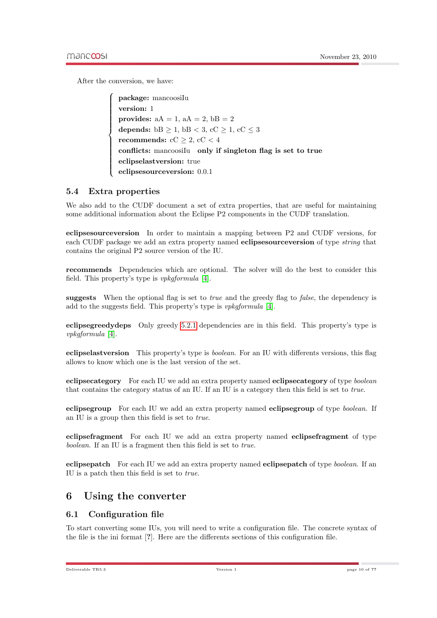After the conversion, we have:

 $\sqrt{ }$  $\begin{array}{c} \hline \end{array}$  $\begin{array}{c} \hline \end{array}$ package: mancoosiIu version: 1 provides:  $aA = 1$ ,  $aA = 2$ ,  $bB = 2$ depends:  $bB \ge 1$ ,  $bB < 3$ ,  $cC \ge 1$ ,  $cC \le 3$ recommends: cC  $\geq$  2, cC  $<$  4 conflicts: mancoosilu only if singleton flag is set to true eclipselastversion: true eclipsesourceversion: 0.0.1

### <span id="page-10-0"></span>5.4 Extra properties

We also add to the CUDF document a set of extra properties, that are useful for maintaining some additional information about the Eclipse P2 components in the CUDF translation.

eclipsesourceversion In order to maintain a mapping between P2 and CUDF versions, for each CUDF package we add an extra property named eclipsesourceversion of type string that contains the original P2 source version of the IU.

<span id="page-10-3"></span>recommends Dependencies which are optional. The solver will do the best to consider this field. This property's type is vpkgformula [\[4\]](#page-17-0).

<span id="page-10-4"></span>suggests When the optional flag is set to *true* and the greedy flag to *false*, the dependency is add to the suggests field. This property's type is vpkgformula [\[4\]](#page-17-0).

eclipsegreedydeps Only greedy [5.2.1](#page-8-2) dependencies are in this field. This property's type is vpkgformula [\[4\]](#page-17-0).

eclipselastversion This property's type is boolean. For an IU with differents versions, this flag allows to know which one is the last version of the set.

eclipsecategory For each IU we add an extra property named eclipsecategory of type boolean that contains the category status of an IU. If an IU is a category then this field is set to true.

eclipsegroup For each IU we add an extra property named eclipsegroup of type boolean. If an IU is a group then this field is set to true.

eclipsefragment For each IU we add an extra property named eclipsefragment of type boolean. If an IU is a fragment then this field is set to true.

eclipsepatch For each IU we add an extra property named eclipsepatch of type boolean. If an IU is a patch then this field is set to true.

## <span id="page-10-1"></span>6 Using the converter

## <span id="page-10-2"></span>6.1 Configuration file

To start converting some IUs, you will need to write a configuration file. The concrete syntax of the file is the ini format [?]. Here are the differents sections of this configuration file.

Deliverable TR5.3 page 10 of ??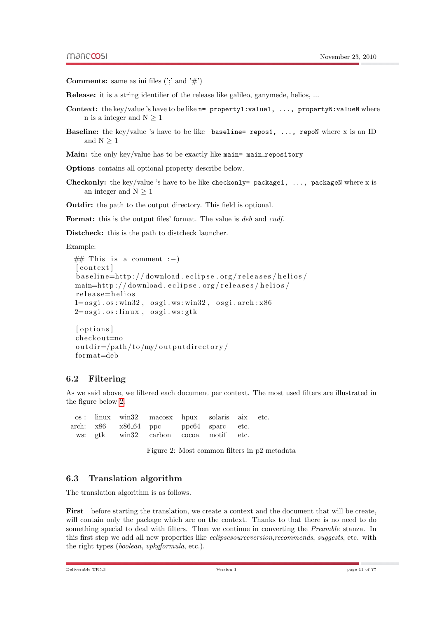**Comments:** same as ini files  $('; ' and '#')$ 

Release: it is a string identifier of the release like galileo, ganymede, helios, ...

- Context: the key/value 's have to be like n= property1:value1, ..., propertyN:valueN where n is a integer and  $N \geq 1$
- **Baseline:** the key/value 's have to be like baseline= repos1, ..., repoN where x is an ID and  $N \geq 1$

Main: the only key/value has to be exactly like main= main\_repository

Options contains all optional property describe below.

**Checkonly:** the key/value 's have to be like checkonly= package1, ..., packageN where x is an integer and  $N > 1$ 

Outdir: the path to the output directory. This field is optional.

Format: this is the output files' format. The value is deb and cudf.

Distcheck: this is the path to distcheck launcher.

Example:

```
\# This is a comment :-)
\lceil context \rceilb as eline=http://download.eclipse.org/releases/helios/
\text{main}=\text{http://download.eclipse.org/releases/helios/}r e l e a s e = h e l i o s
1 = \text{osgi} \cdot \text{os} : \text{win32}, \text{osgi} \cdot \text{ws} : \text{win32}, \text{osgi} \cdot \text{arch} : x862 = \cos g i \cdot \cos : \text{linux}, \text{osgi.ws:} g t k[ options]
```

```
check ou t=no
outdir = /path / to /my / outputdirector y /form at =deb
```
#### <span id="page-11-0"></span>6.2 Filtering

As we said above, we filtered each document per context. The most used filters are illustrated in the figure below [2.](#page-11-2)

|  | os: linux win32 macosx hpux solaris aix etc. |  |  |
|--|----------------------------------------------|--|--|
|  | arch: x86 x86_64 ppc ppc64 sparc etc.        |  |  |
|  | ws: gtk win32 carbon cocoa motif etc.        |  |  |

<span id="page-11-2"></span>Figure 2: Most common filters in p2 metadata

#### <span id="page-11-1"></span>6.3 Translation algorithm

The translation algorithm is as follows.

First before starting the translation, we create a context and the document that will be create. will contain only the package which are on the context. Thanks to that there is no need to do something special to deal with filters. Then we continue in converting the *Preamble* stanza. In this first step we add all new properties like *eclipsesourceversion,recommends, suggests*, etc. with the right types (boolean, vpkgformula, etc.).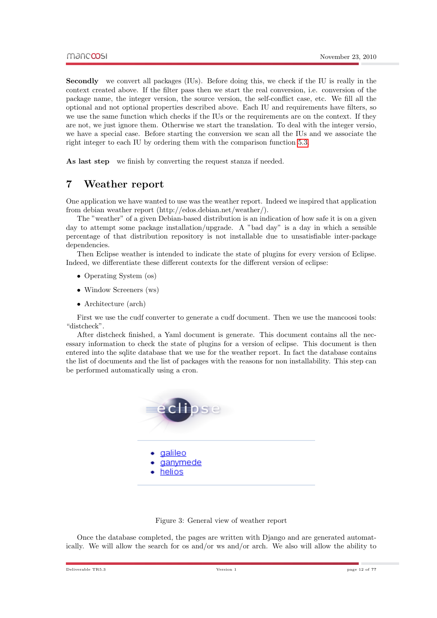Secondly we convert all packages (IUs). Before doing this, we check if the IU is really in the context created above. If the filter pass then we start the real conversion, i.e. conversion of the package name, the integer version, the source version, the self-conflict case, etc. We fill all the optional and not optional properties described above. Each IU and requirements have filters, so we use the same function which checks if the IUs or the requirements are on the context. If they are not, we just ignore them. Otherwise we start the translation. To deal with the integer versio, we have a special case. Before starting the conversion we scan all the IUs and we associate the right integer to each IU by ordering them with the comparison function [5.3.](#page-9-0)

As last step we finish by converting the request stanza if needed.

## <span id="page-12-0"></span>7 Weather report

One application we have wanted to use was the weather report. Indeed we inspired that application from debian weather report (http://edos.debian.net/weather/).

The "weather" of a given Debian-based distribution is an indication of how safe it is on a given day to attempt some package installation/upgrade. A "bad day" is a day in which a sensible percentage of that distribution repository is not installable due to unsatisfiable inter-package dependencies.

Then Eclipse weather is intended to indicate the state of plugins for every version of Eclipse. Indeed, we differentiate these different contexts for the different version of eclipse:

- Operating System (os)
- Window Screeners (ws)
- Architecture (arch)

First we use the cudf converter to generate a cudf document. Then we use the mancoosi tools: "distcheck".

After distcheck finished, a Yaml document is generate. This document contains all the necessary information to check the state of plugins for a version of eclipse. This document is then entered into the sqlite database that we use for the weather report. In fact the database contains the list of documents and the list of packages with the reasons for non installability. This step can be performed automatically using a cron.





Once the database completed, the pages are written with Django and are generated automatically. We will allow the search for os and/or ws and/or arch. We also will allow the ability to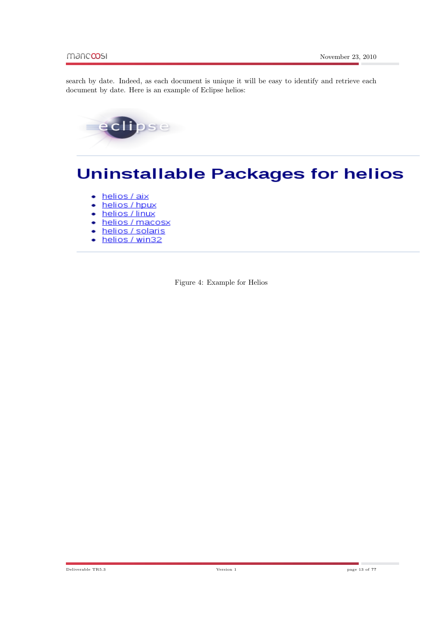search by date. Indeed, as each document is unique it will be easy to identify and retrieve each document by date. Here is an example of Eclipse helios:



# **Uninstallable Packages for helios**

- helios / aix ٠
- helios / hpux ٠
- helios / linux
- helios / macosx
- helios / solaris
- helios / win32 ٠

Figure 4: Example for Helios

Deliverable TR5.3 Version 1 page 13 of ??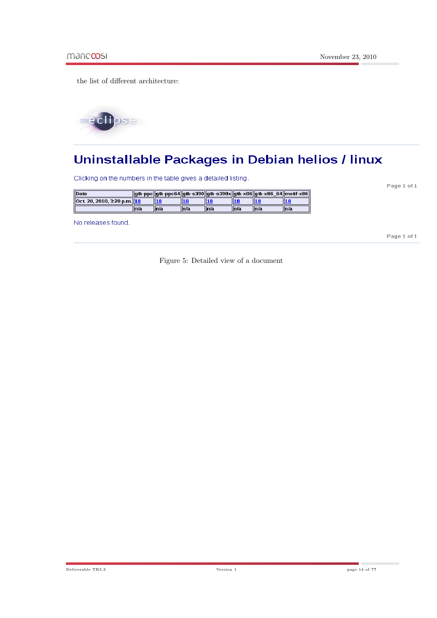the list of different architecture:



# Uninstallable Packages in Debian helios / linux

Clicking on the numbers in the table gives a detailed listing.

||gtk-ppc||gtk-ppc64||gtk-s390||gtk-s390x||gtk-x86||gtk-x86\_64||motif-x86| Date Oct. 20, 2010, 3:20 p.m. 18  $\overline{18}$  $\overline{\mathbf{18}}$  $\overline{18}$  $18$  $18$ 18  $\sqrt{\overline{\ln}/a}$  $\sqrt{\frac{1}{n}}$  $\overline{\overline{\mathsf{ln}/\mathsf{a}}}$  $\overline{\overline{\mathsf{h}/\mathsf{a}}}$  $\overline{\overline{\mathsf{h}/\mathsf{a}}}$  $\overline{\overline{\mathsf{ln}/\mathsf{a}}}$  $\overline{\overline{\ln}/a}$ 

No releases found.

Page 1 of 1

Page 1 of 1

Figure 5: Detailed view of a document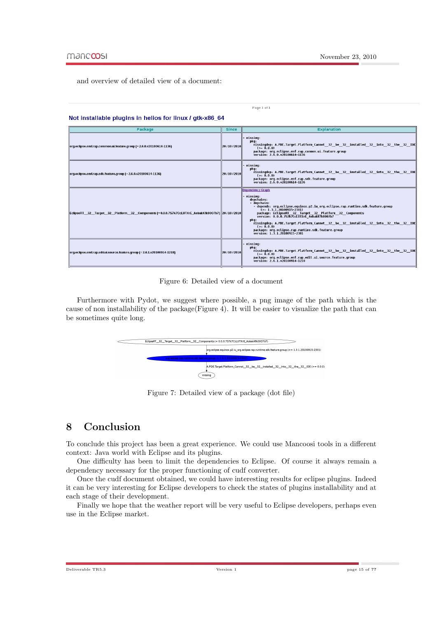and overview of detailed view of a document:

| Package                                                                                             | <b>Since</b>   | <b>Explanation</b>                                                                                                                                                                                                                                                                                                                                                                                                                                                                           |
|-----------------------------------------------------------------------------------------------------|----------------|----------------------------------------------------------------------------------------------------------------------------------------------------------------------------------------------------------------------------------------------------------------------------------------------------------------------------------------------------------------------------------------------------------------------------------------------------------------------------------------------|
| org.eclipse.emf.rap.common.ui.feature.group (= 2.6.0.v20100614-1136)                                | 20 / 10 / 2010 | missing.<br>pkg:<br>missingdep: A.PDE.Target.Platform Cannot 32 be 32 installed 32 into 32 the 32 IDE<br>$(>= 0.0.0)$<br>package: org.eclipse.emf.rap.common.ui.feature.group<br>version: 2.6.0.v20100614-1136                                                                                                                                                                                                                                                                               |
| org.eclipse.emf.rap.sdk.feature.group (= 2.6.0.v20100614-1136)                                      | 20/10/2010     | missing.<br>pkg:<br>nissingdep: A.PDE.Target.Platform_Cannot_32_be_32_installed_32_into_32_the_32_IDE<br>$(>= 0.0.0)$<br>package: org.eclipse.emf.rap.sdk.feature.group<br>version 2.6.0.v20100614 1136                                                                                                                                                                                                                                                                                      |
| EclipseRT 32 Target 32 Platform 32 Components (= 0.0.0.7S7k7CcLUTXrE_AobakKfk00O7b7) 20 / 10 / 2010 |                | <b>Dependency Graph</b><br>missing.<br>depchains:<br>- depchain:<br>- depends: org.eclipse.equinox.p2.iu org.eclipse.rap.runtime.sdk.feature.group<br>$(>= 1.3.1.20100915.2301)$<br>package: EclipseRT_32_Target_32_Platform_32_Components<br>version: 0.0.0.7S7k7CcLUTXrE_AobakKfk0007b7<br>pkq:<br>missingdep: A.PDE.Target.Platform Cannot 32 be 32 installed 32 into 32 the 32 IDE<br>$(>= 0 0 0)$<br>package: org.eclipse.rap.runtime.sdk.feature.group<br>version: 1.3.1.20100915-2301 |
| org.eclipse.emf.rap.edit.ui.source.feature.group (= 2.6.1.v20100914-1218)                           | 20 / 10 / 2010 | missing:<br>pkg:<br>missingdep: A.PDE.Target.Platform Cannot 32 be 32 installed 32 into 32 the 32 IDE<br>$(>= 0.0.0)$<br>package: org.eclipse.emf.rap.edit.ui.source.feature.group<br>version: 2.6.1.v20100914-1218                                                                                                                                                                                                                                                                          |

Page 1 of 1

## Not installable pluging in belies for linux Latk vOC, CA



Furthermore with Pydot, we suggest where possible, a png image of the path which is the cause of non installability of the package(Figure 4). It will be easier to visualize the path that can be sometimes quite long.



Figure 7: Detailed view of a package (dot file)

## <span id="page-15-0"></span>8 Conclusion

To conclude this project has been a great experience. We could use Mancoosi tools in a different context: Java world with Eclipse and its plugins.

One difficulty has been to limit the dependencies to Eclipse. Of course it always remain a dependency necessary for the proper functioning of cudf converter.

Once the cudf document obtained, we could have interesting results for eclipse plugins. Indeed it can be very interesting for Eclipse developers to check the states of plugins installability and at each stage of their development.

Finally we hope that the weather report will be very useful to Eclipse developers, perhaps even use in the Eclipse market.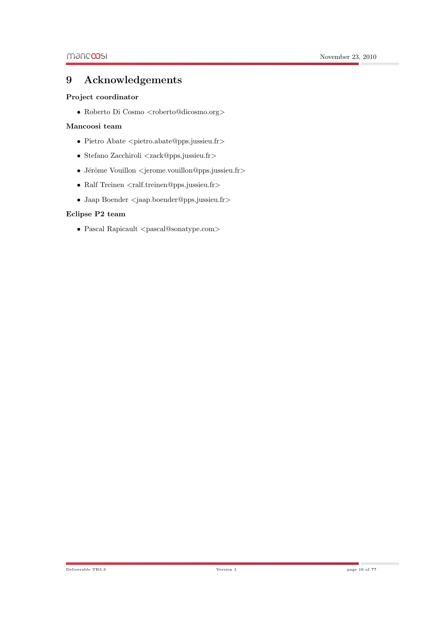# <span id="page-16-0"></span>9 Acknowledgements

#### Project coordinator

- Roberto Di Cosmo $<$ roberto@dicosmo.org $>$ 

### Mancoosi team

- $\bullet$  Pietro Abate  $\leq$ pietro.abate@pps.jussieu.fr>
- Stefano Zacchiroli <zack@pps.jussieu.fr>
- Jérôme Vouillon  $\langle$ jerome.vouillon@pps.jussieu.fr>
- Ralf Treinen <ralf.treinen@pps.jussieu.fr>
- Jaap Boender <jaap.boender@pps.jussieu.fr>

### Eclipse P2 team

• Pascal Rapicault  $\langle$  pascal@sonatype.com>